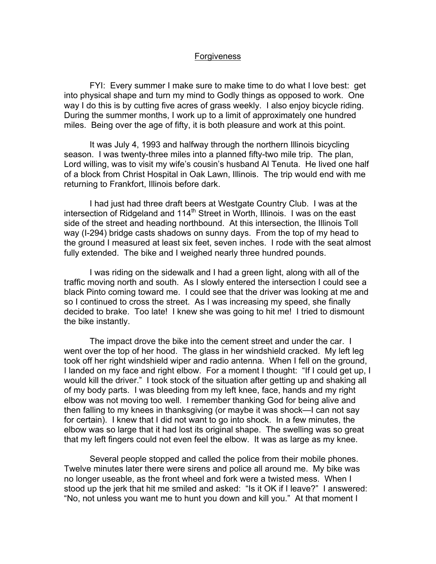## **Forgiveness**

 FYI: Every summer I make sure to make time to do what I love best: get into physical shape and turn my mind to Godly things as opposed to work. One way I do this is by cutting five acres of grass weekly. I also enjoy bicycle riding. During the summer months, I work up to a limit of approximately one hundred miles. Being over the age of fifty, it is both pleasure and work at this point.

It was July 4, 1993 and halfway through the northern Illinois bicycling season. I was twenty-three miles into a planned fifty-two mile trip. The plan, Lord willing, was to visit my wife's cousin's husband Al Tenuta. He lived one half of a block from Christ Hospital in Oak Lawn, Illinois. The trip would end with me returning to Frankfort, Illinois before dark.

I had just had three draft beers at Westgate Country Club. I was at the intersection of Ridgeland and 114<sup>th</sup> Street in Worth, Illinois. I was on the east side of the street and heading northbound. At this intersection, the Illinois Toll way (I-294) bridge casts shadows on sunny days. From the top of my head to the ground I measured at least six feet, seven inches. I rode with the seat almost fully extended. The bike and I weighed nearly three hundred pounds.

I was riding on the sidewalk and I had a green light, along with all of the traffic moving north and south. As I slowly entered the intersection I could see a black Pinto coming toward me. I could see that the driver was looking at me and so I continued to cross the street. As I was increasing my speed, she finally decided to brake. Too late! I knew she was going to hit me! I tried to dismount the bike instantly.

The impact drove the bike into the cement street and under the car. I went over the top of her hood. The glass in her windshield cracked. My left leg took off her right windshield wiper and radio antenna. When I fell on the ground, I landed on my face and right elbow. For a moment I thought: "If I could get up, I would kill the driver." I took stock of the situation after getting up and shaking all of my body parts. I was bleeding from my left knee, face, hands and my right elbow was not moving too well. I remember thanking God for being alive and then falling to my knees in thanksgiving (or maybe it was shock—I can not say for certain). I knew that I did not want to go into shock. In a few minutes, the elbow was so large that it had lost its original shape. The swelling was so great that my left fingers could not even feel the elbow. It was as large as my knee.

Several people stopped and called the police from their mobile phones. Twelve minutes later there were sirens and police all around me. My bike was no longer useable, as the front wheel and fork were a twisted mess. When I stood up the jerk that hit me smiled and asked: "Is it OK if I leave?" I answered: "No, not unless you want me to hunt you down and kill you." At that moment I